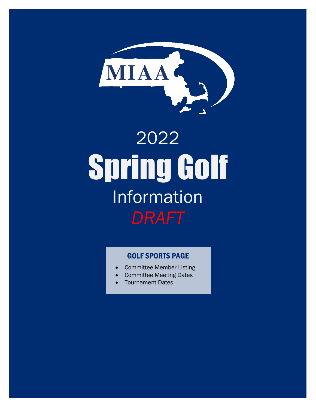

# 2022 Spring Golf Information *DRAFT*

# GOLF [SPORTS PAGE](http://miaa.net/contentm/easy_pages/view.php?page_id=7&sid=38&menu_id=158)

- [Committee Member Listing](http://miaa.net/contentm/easy_pages/view.php?page_id=7&sid=38&menu_id=158)
- Committee Meeting Dates
- Tournament Dates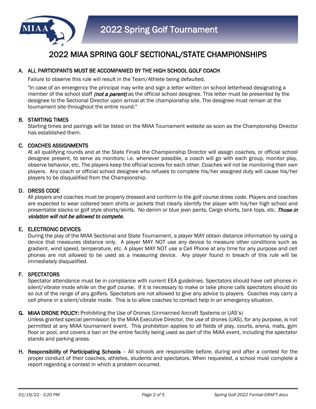

# 2022 MIAA SPRING GOLF SECTIONAL/STATE CHAMPIONSHIPS

# A. ALL PARTICIPANTS MUST BE ACCOMPANIED BY THE HIGH SCHOOL GOLF COACH

Failure to observe this rule will result in the Team/Athlete being defaulted.

"In case of an emergency the principal may write and sign a letter written on school letterhead designating a member of the school staff *(not a parent)* as the official school designee. This letter must be presented by the designee to the Sectional Director upon arrival at the championship site. The designee must remain at the tournament site throughout the entire round."

## B. STARTING TIMES

Starting times and pairings will be listed on the MIAA Tournament website as soon as the Championship Director has established them.

## C. COACHES ASSIGNMENTS

At all qualifying rounds and at the State Finals the Championship Director will assign coaches, or official school designee present, to serve as monitors; i.e. whenever possible, a coach will go with each group, monitor play, observe behavior, etc. The players keep the official scores for each other. Coaches will not be monitoring their own players. Any coach or official school designee who refuses to complete his/her assigned duty will cause his/her players to be disqualified from the Championship.

## D. DRESS CODE

All players and coaches must be properly dressed and conform to the golf course dress code. Players and coaches are expected to wear collared team shirts or jackets that clearly identify the player with his/her high school and presentable slacks or golf style shorts/skirts. No denim or blue jean pants, Cargo shorts, tank tops, etc. Those in violation will not be allowed to compete.

## E. ELECTRONIC DEVICES

During the play of the MIAA Sectional and State Tournament, a player MAY obtain distance information by using a device that measures distance only. A player MAY NOT use any device to measure other conditions such as gradient, wind speed, temperature, etc. A player MAY NOT use a Cell Phone at any time for any purpose and cell phones are not allowed to be used as a measuring device. Any player found in breach of this rule will be immediately disqualified.

## F. SPECTATORS

Spectator attendance must be in compliance with current EEA guidelines. Spectators should have cell phones in silent/vibrate mode while on the golf course. If it is necessary to make or take phone calls spectators should do so out of the range of any golfers. Spectators are not allowed to give any advice to players. Coaches may carry a cell phone in a silent/vibrate mode. This is to allow coaches to contact help in an emergency situation.

## G. MIAA DRONE POLICY: Prohibiting the Use of Drones (Unmanned Aircraft Systems or UAS's)

Unless granted special permission by the MIAA Executive Director, the use of drones (UAS), for any purpose, is not permitted at any MIAA tournament event. This prohibition applies to all fields of play, courts, arena, mats, gym floor or pool, and covers a ban on the entire facility being used as part of the MIAA event, including the spectator stands and parking areas.

H. Responsibility of Participating Schools – All schools are responsible before, during and after a contest for the proper conduct of their coaches, athletes, students and spectators. When requested, a school must complete a report regarding a contest in which a problem occurred.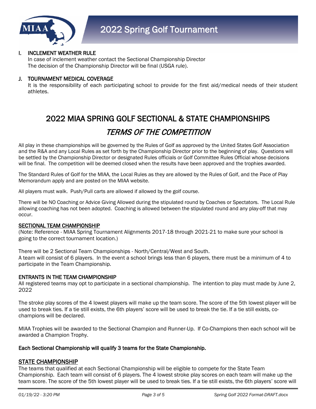

## I. INCLEMENT WEATHER RULE

In case of inclement weather contact the Sectional Championship Director The decision of the Championship Director will be final (USGA rule).

## J. TOURNAMENT MEDICAL COVERAGE

It is the responsibility of each participating school to provide for the first aid/medical needs of their student athletes.

# 2022 MIAA SPRING GOLF SECTIONAL & STATE CHAMPIONSHIPS

# TERMS OF THE COMPETITION

All play in these championships will be governed by the Rules of Golf as approved by the United States Golf Association and the R&A and any Local Rules as set forth by the Championship Director prior to the beginning of play. Questions will be settled by the Championship Director or designated Rules officials or Golf Committee Rules Official whose decisions will be final. The competition will be deemed closed when the results have been approved and the trophies awarded.

The Standard Rules of Golf for the MIAA, the Local Rules as they are allowed by the Rules of Golf, and the Pace of Play Memorandum apply and are posted on the MIAA website.

All players must walk. Push/Pull carts are allowed if allowed by the golf course.

There will be NO Coaching or Advice Giving Allowed during the stipulated round by Coaches or Spectators. The Local Rule allowing coaching has not been adopted. Coaching is allowed between the stipulated round and any play-off that may occur.

## SECTIONAL TEAM CHAMPIONSHIP

(Note: Reference - MIAA Spring Tournament Alignments 2017-18 through 2021-21 to make sure your school is going to the correct tournament location.)

There will be 2 Sectional Team Championships - North/Central/West and South. A team will consist of 6 players. In the event a school brings less than 6 players, there must be a minimum of 4 to participate in the Team Championship.

## ENTRANTS IN THE TEAM CHAMPIONSHIP

All registered teams may opt to participate in a sectional championship. The intention to play must made by June 2, 2022

The stroke play scores of the 4 lowest players will make up the team score. The score of the 5th lowest player will be used to break ties. If a tie still exists, the 6th players' score will be used to break the tie. If a tie still exists, cochampions will be declared.

MIAA Trophies will be awarded to the Sectional Champion and Runner-Up. If Co-Champions then each school will be awarded a Champion Trophy.

## Each Sectional Championship will qualify 3 teams for the State Championship.

## STATE CHAMPIONSHIP

The teams that qualified at each Sectional Championship will be eligible to compete for the State Team Championship. Each team will consist of 6 players. The 4 lowest stroke play scores on each team will make up the team score. The score of the 5th lowest player will be used to break ties. If a tie still exists, the 6th players' score will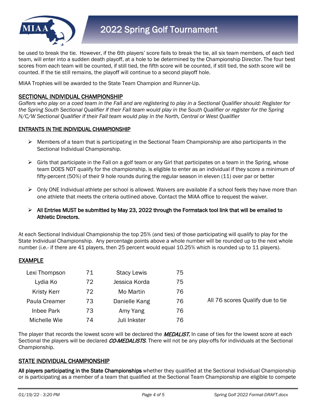

be used to break the tie. However, if the 6th players' score fails to break the tie, all six team members, of each tied team, will enter into a sudden death playoff, at a hole to be determined by the Championship Director. The four best scores from each team will be counted, if still tied, the fifth score will be counted, if still tied, the sixth score will be counted. If the tie still remains, the playoff will continue to a second playoff hole.

MIAA Trophies will be awarded to the State Team Champion and Runner-Up.

# SECTIONAL INDIVIDUAL CHAMPIONSHIP

*Golfers who play on a coed team in the Fall and are registering to play in a Sectional Qualifier should: Register for the Spring South Sectional Qualifier if their Fall team would play in the South Qualifier or register for the Spring N/C/W Sectional Qualifier if their Fall team would play in the North, Central or West Qualifier*

# ENTRANTS IN THE INDIVIDUAL CHAMPIONSHIP

- $\triangleright$  Members of a team that is participating in the Sectional Team Championship are also participants in the Sectional Individual Championship.
- $\triangleright$  Girls that participate in the Fall on a golf team or any Girl that participates on a team in the Spring, whose team DOES NOT qualify for the championship, is eligible to enter as an individual if they score a minimum of fifty-percent (50%) of their 9 hole rounds during the regular season in eleven (11) over par or better
- Only ONE Individual athlete per school is allowed. Waivers are available if a school feels they have more than one athlete that meets the criteria outlined above. Contact the MIAA office to request the waiver.

# $\triangleright$  All Entries MUST be submitted by May 23, 2022 through the Formstack tool link that will be emailed to Athletic Directors.

At each Sectional Individual Championship the top 25% (and ties) of those participating will qualify to play for the State Individual Championship. Any percentage points above a whole number will be rounded up to the next whole number (i.e.- if there are 41 players, then 25 percent would equal 10.25% which is rounded up to 11 players).

# EXAMPLE

| Lexi Thompson      | 71 | <b>Stacy Lewis</b> | 75 |                                  |
|--------------------|----|--------------------|----|----------------------------------|
| Lydia Ko           | 72 | Jessica Korda      | 75 |                                  |
| <b>Kristy Kerr</b> | 72 | Mo Martin          | 76 |                                  |
| Paula Creamer      | 73 | Danielle Kang      | 76 | All 76 scores Qualify due to tie |
| Inbee Park         | 73 | Amy Yang           | 76 |                                  |
| Michelle Wie       | 74 | Juli Inkster       | 76 |                                  |

The player that records the lowest score will be declared the **MEDALIST.** In case of ties for the lowest score at each Sectional the players will be declared CO-MEDALISTS. There will not be any play-offs for individuals at the Sectional Championship.

# STATE INDIVIDUAL CHAMPIONSHIP

All players participating in the State Championships whether they qualified at the Sectional Individual Championship or is participating as a member of a team that qualified at the Sectional Team Championship are eligible to compete